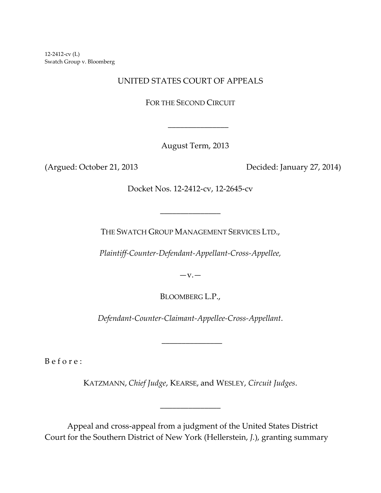12-2412-cv (L) Swatch Group v. Bloomberg

## UNITED STATES COURT OF APPEALS

FOR THE SECOND CIRCUIT

August Term, 2013

(Argued: October 21, 2013 Decided: January 27, 2014)

Docket Nos. 12-2412-cv, 12-2645-cv

THE SWATCH GROUP MANAGEMENT SERVICES LTD.,

\_\_\_\_\_\_\_\_\_\_\_\_\_\_\_

*Plaintiff-Counter-Defendant-Appellant-Cross-Appellee,*

 $-v.$ 

BLOOMBERG L.P.,

*Defendant-Counter-Claimant-Appellee-Cross-Appellant*.

\_\_\_\_\_\_\_\_\_\_\_\_\_\_\_

B e f o r e :

KATZMANN, *Chief Judge*, KEARSE, and WESLEY, *Circuit Judges*.

\_\_\_\_\_\_\_\_\_\_\_\_\_\_\_

Appeal and cross-appeal from a judgment of the United States District Court for the Southern District of New York (Hellerstein, *J.*), granting summary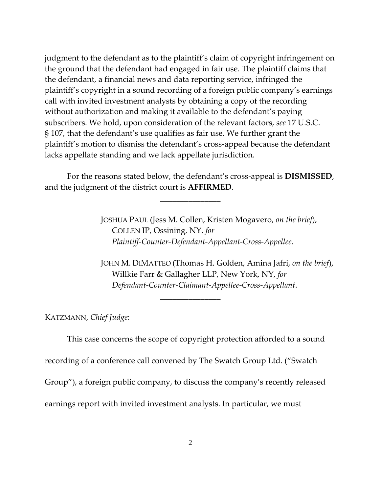judgment to the defendant as to the plaintiff's claim of copyright infringement on the ground that the defendant had engaged in fair use. The plaintiff claims that the defendant, a financial news and data reporting service, infringed the plaintiff's copyright in a sound recording of a foreign public company's earnings call with invited investment analysts by obtaining a copy of the recording without authorization and making it available to the defendant's paying subscribers. We hold, upon consideration of the relevant factors, *see* 17 U.S.C. § 107, that the defendant's use qualifies as fair use. We further grant the plaintiff's motion to dismiss the defendant's cross-appeal because the defendant lacks appellate standing and we lack appellate jurisdiction.

For the reasons stated below, the defendant's cross-appeal is **DISMISSED**, and the judgment of the district court is **AFFIRMED**.

\_\_\_\_\_\_\_\_\_\_\_\_\_\_\_

\_\_\_\_\_\_\_\_\_\_\_\_\_\_\_

JOSHUA PAUL (Jess M. Collen, Kristen Mogavero, *on the brief*), COLLEN IP, Ossining, NY, *for Plaintiff-Counter-Defendant-Appellant-Cross-Appellee*.

JOHN M. DIMATTEO (Thomas H. Golden, Amina Jafri, *on the brief*), Willkie Farr & Gallagher LLP, New York, NY, *for Defendant-Counter-Claimant-Appellee-Cross-Appellant*.

KATZMANN, *Chief Judge*:

This case concerns the scope of copyright protection afforded to a sound recording of a conference call convened by The Swatch Group Ltd. ("Swatch Group"), a foreign public company, to discuss the company's recently released earnings report with invited investment analysts. In particular, we must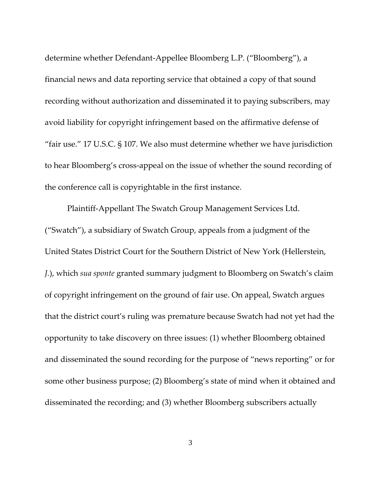determine whether Defendant-Appellee Bloomberg L.P. ("Bloomberg"), a financial news and data reporting service that obtained a copy of that sound recording without authorization and disseminated it to paying subscribers, may avoid liability for copyright infringement based on the affirmative defense of "fair use." 17 U.S.C. § 107. We also must determine whether we have jurisdiction to hear Bloomberg's cross-appeal on the issue of whether the sound recording of the conference call is copyrightable in the first instance.

Plaintiff-Appellant The Swatch Group Management Services Ltd. ("Swatch"), a subsidiary of Swatch Group, appeals from a judgment of the United States District Court for the Southern District of New York (Hellerstein, *J.*), which *sua sponte* granted summary judgment to Bloomberg on Swatch's claim of copyright infringement on the ground of fair use. On appeal, Swatch argues that the district court's ruling was premature because Swatch had not yet had the opportunity to take discovery on three issues: (1) whether Bloomberg obtained and disseminated the sound recording for the purpose of "news reporting" or for some other business purpose; (2) Bloomberg's state of mind when it obtained and disseminated the recording; and (3) whether Bloomberg subscribers actually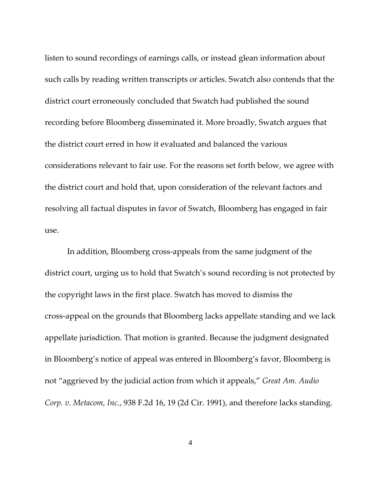listen to sound recordings of earnings calls, or instead glean information about such calls by reading written transcripts or articles. Swatch also contends that the district court erroneously concluded that Swatch had published the sound recording before Bloomberg disseminated it. More broadly, Swatch argues that the district court erred in how it evaluated and balanced the various considerations relevant to fair use. For the reasons set forth below, we agree with the district court and hold that, upon consideration of the relevant factors and resolving all factual disputes in favor of Swatch, Bloomberg has engaged in fair use.

In addition, Bloomberg cross-appeals from the same judgment of the district court, urging us to hold that Swatch's sound recording is not protected by the copyright laws in the first place. Swatch has moved to dismiss the cross-appeal on the grounds that Bloomberg lacks appellate standing and we lack appellate jurisdiction. That motion is granted. Because the judgment designated in Bloomberg's notice of appeal was entered in Bloomberg's favor, Bloomberg is not "aggrieved by the judicial action from which it appeals," *Great Am. Audio Corp. v. Metacom, Inc.*, 938 F.2d 16, 19 (2d Cir. 1991), and therefore lacks standing.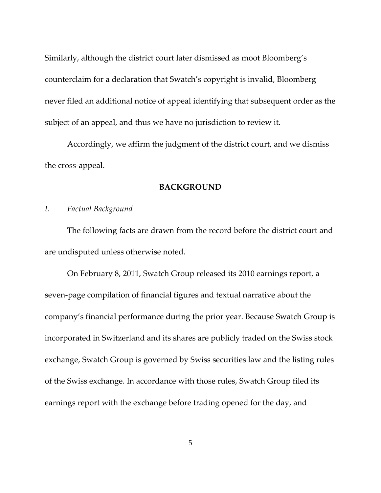Similarly, although the district court later dismissed as moot Bloomberg's counterclaim for a declaration that Swatch's copyright is invalid, Bloomberg never filed an additional notice of appeal identifying that subsequent order as the subject of an appeal, and thus we have no jurisdiction to review it.

Accordingly, we affirm the judgment of the district court, and we dismiss the cross-appeal.

#### **BACKGROUND**

#### *I. Factual Background*

The following facts are drawn from the record before the district court and are undisputed unless otherwise noted.

On February 8, 2011, Swatch Group released its 2010 earnings report, a seven-page compilation of financial figures and textual narrative about the company's financial performance during the prior year. Because Swatch Group is incorporated in Switzerland and its shares are publicly traded on the Swiss stock exchange, Swatch Group is governed by Swiss securities law and the listing rules of the Swiss exchange. In accordance with those rules, Swatch Group filed its earnings report with the exchange before trading opened for the day, and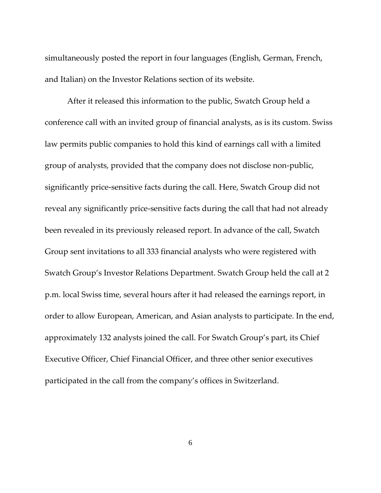simultaneously posted the report in four languages (English, German, French, and Italian) on the Investor Relations section of its website.

After it released this information to the public, Swatch Group held a conference call with an invited group of financial analysts, as is its custom. Swiss law permits public companies to hold this kind of earnings call with a limited group of analysts, provided that the company does not disclose non-public, significantly price-sensitive facts during the call. Here, Swatch Group did not reveal any significantly price-sensitive facts during the call that had not already been revealed in its previously released report. In advance of the call, Swatch Group sent invitations to all 333 financial analysts who were registered with Swatch Group's Investor Relations Department. Swatch Group held the call at 2 p.m. local Swiss time, several hours after it had released the earnings report, in order to allow European, American, and Asian analysts to participate. In the end, approximately 132 analysts joined the call. For Swatch Group's part, its Chief Executive Officer, Chief Financial Officer, and three other senior executives participated in the call from the company's offices in Switzerland.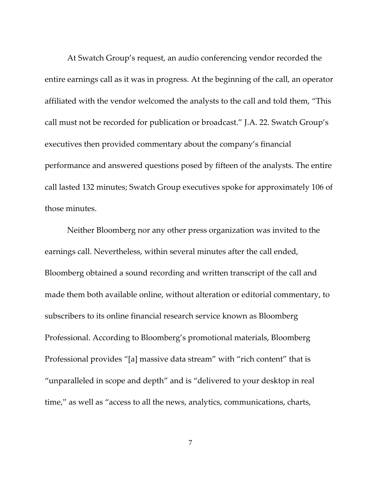At Swatch Group's request, an audio conferencing vendor recorded the entire earnings call as it was in progress. At the beginning of the call, an operator affiliated with the vendor welcomed the analysts to the call and told them, "This call must not be recorded for publication or broadcast." J.A. 22. Swatch Group's executives then provided commentary about the company's financial performance and answered questions posed by fifteen of the analysts. The entire call lasted 132 minutes; Swatch Group executives spoke for approximately 106 of those minutes.

Neither Bloomberg nor any other press organization was invited to the earnings call. Nevertheless, within several minutes after the call ended, Bloomberg obtained a sound recording and written transcript of the call and made them both available online, without alteration or editorial commentary, to subscribers to its online financial research service known as Bloomberg Professional. According to Bloomberg's promotional materials, Bloomberg Professional provides "[a] massive data stream" with "rich content" that is "unparalleled in scope and depth" and is "delivered to your desktop in real time," as well as "access to all the news, analytics, communications, charts,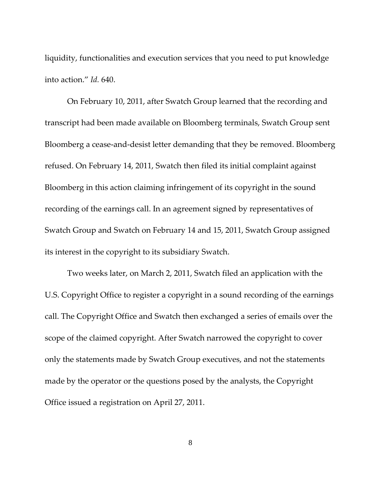liquidity, functionalities and execution services that you need to put knowledge into action." *Id.* 640.

On February 10, 2011, after Swatch Group learned that the recording and transcript had been made available on Bloomberg terminals, Swatch Group sent Bloomberg a cease-and-desist letter demanding that they be removed. Bloomberg refused. On February 14, 2011, Swatch then filed its initial complaint against Bloomberg in this action claiming infringement of its copyright in the sound recording of the earnings call. In an agreement signed by representatives of Swatch Group and Swatch on February 14 and 15, 2011, Swatch Group assigned its interest in the copyright to its subsidiary Swatch.

Two weeks later, on March 2, 2011, Swatch filed an application with the U.S. Copyright Office to register a copyright in a sound recording of the earnings call. The Copyright Office and Swatch then exchanged a series of emails over the scope of the claimed copyright. After Swatch narrowed the copyright to cover only the statements made by Swatch Group executives, and not the statements made by the operator or the questions posed by the analysts, the Copyright Office issued a registration on April 27, 2011.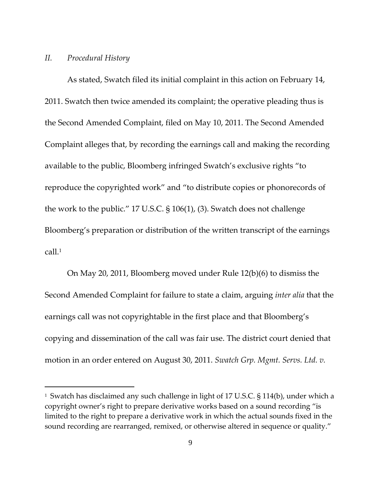## *II. Procedural History*

l

As stated, Swatch filed its initial complaint in this action on February 14, 2011. Swatch then twice amended its complaint; the operative pleading thus is the Second Amended Complaint, filed on May 10, 2011. The Second Amended Complaint alleges that, by recording the earnings call and making the recording available to the public, Bloomberg infringed Swatch's exclusive rights "to reproduce the copyrighted work" and "to distribute copies or phonorecords of the work to the public." 17 U.S.C. § 106(1), (3). Swatch does not challenge Bloomberg's preparation or distribution of the written transcript of the earnings call.<sup>1</sup>

On May 20, 2011, Bloomberg moved under Rule 12(b)(6) to dismiss the Second Amended Complaint for failure to state a claim, arguing *inter alia* that the earnings call was not copyrightable in the first place and that Bloomberg's copying and dissemination of the call was fair use. The district court denied that motion in an order entered on August 30, 2011. *Swatch Grp. Mgmt. Servs. Ltd. v.* 

<sup>&</sup>lt;sup>1</sup> Swatch has disclaimed any such challenge in light of 17 U.S.C. § 114(b), under which a copyright owner's right to prepare derivative works based on a sound recording "is limited to the right to prepare a derivative work in which the actual sounds fixed in the sound recording are rearranged, remixed, or otherwise altered in sequence or quality."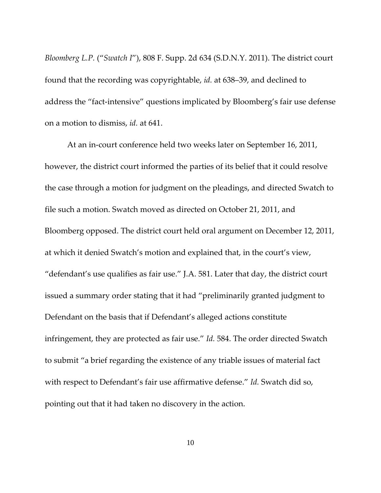*Bloomberg L.P.* ("*Swatch I*"), 808 F. Supp. 2d 634 (S.D.N.Y. 2011). The district court found that the recording was copyrightable, *id.* at 638–39, and declined to address the "fact-intensive" questions implicated by Bloomberg's fair use defense on a motion to dismiss, *id.* at 641.

At an in-court conference held two weeks later on September 16, 2011, however, the district court informed the parties of its belief that it could resolve the case through a motion for judgment on the pleadings, and directed Swatch to file such a motion. Swatch moved as directed on October 21, 2011, and Bloomberg opposed. The district court held oral argument on December 12, 2011, at which it denied Swatch's motion and explained that, in the court's view, "defendant's use qualifies as fair use." J.A. 581. Later that day, the district court issued a summary order stating that it had "preliminarily granted judgment to Defendant on the basis that if Defendant's alleged actions constitute infringement, they are protected as fair use." *Id.* 584. The order directed Swatch to submit "a brief regarding the existence of any triable issues of material fact with respect to Defendant's fair use affirmative defense." *Id.* Swatch did so, pointing out that it had taken no discovery in the action.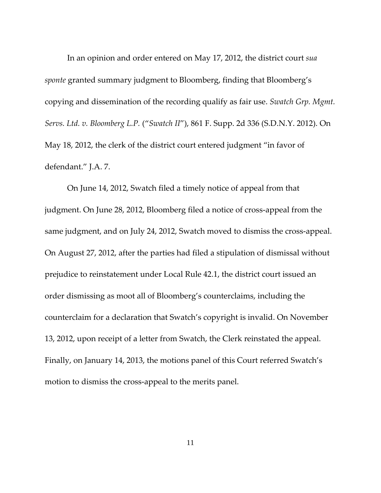In an opinion and order entered on May 17, 2012, the district court *sua sponte* granted summary judgment to Bloomberg, finding that Bloomberg's copying and dissemination of the recording qualify as fair use. *Swatch Grp. Mgmt. Servs. Ltd. v. Bloomberg L.P.* ("*Swatch II*"), 861 F. Supp. 2d 336 (S.D.N.Y. 2012). On May 18, 2012, the clerk of the district court entered judgment "in favor of defendant." J.A. 7.

On June 14, 2012, Swatch filed a timely notice of appeal from that judgment. On June 28, 2012, Bloomberg filed a notice of cross-appeal from the same judgment, and on July 24, 2012, Swatch moved to dismiss the cross-appeal. On August 27, 2012, after the parties had filed a stipulation of dismissal without prejudice to reinstatement under Local Rule 42.1, the district court issued an order dismissing as moot all of Bloomberg's counterclaims, including the counterclaim for a declaration that Swatch's copyright is invalid. On November 13, 2012, upon receipt of a letter from Swatch, the Clerk reinstated the appeal. Finally, on January 14, 2013, the motions panel of this Court referred Swatch's motion to dismiss the cross-appeal to the merits panel.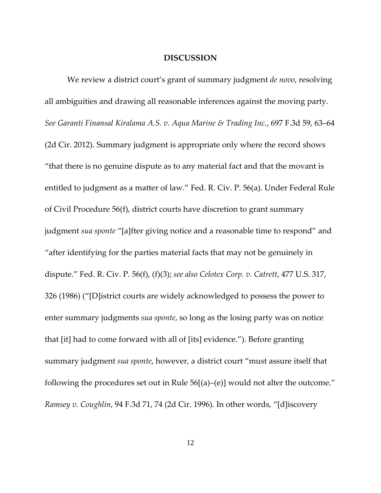#### **DISCUSSION**

We review a district court's grant of summary judgment *de novo*, resolving all ambiguities and drawing all reasonable inferences against the moving party. *See Garanti Finansal Kiralama A.S. v. Aqua Marine & Trading Inc.*, 697 F.3d 59, 63–64 (2d Cir. 2012). Summary judgment is appropriate only where the record shows "that there is no genuine dispute as to any material fact and that the movant is entitled to judgment as a matter of law." Fed. R. Civ. P. 56(a). Under Federal Rule of Civil Procedure 56(f), district courts have discretion to grant summary judgment *sua sponte* "[a]fter giving notice and a reasonable time to respond" and "after identifying for the parties material facts that may not be genuinely in dispute." Fed. R. Civ. P. 56(f), (f)(3); *see also Celotex Corp. v. Catrett*, 477 U.S. 317, 326 (1986) ("[D]istrict courts are widely acknowledged to possess the power to enter summary judgments *sua sponte*, so long as the losing party was on notice that [it] had to come forward with all of [its] evidence."). Before granting summary judgment *sua sponte*, however, a district court "must assure itself that following the procedures set out in Rule 56[(a)–(e)] would not alter the outcome." *Ramsey v. Coughlin*, 94 F.3d 71, 74 (2d Cir. 1996). In other words, "[d]iscovery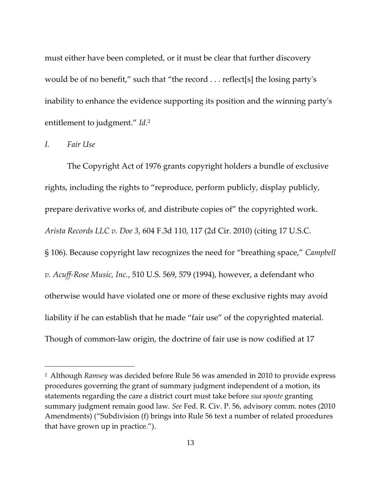must either have been completed, or it must be clear that further discovery would be of no benefit," such that "the record . . . reflect[s] the losing party's inability to enhance the evidence supporting its position and the winning party's entitlement to judgment." *Id.*<sup>2</sup>

*I. Fair Use*

l

The Copyright Act of 1976 grants copyright holders a bundle of exclusive rights, including the rights to "reproduce, perform publicly, display publicly, prepare derivative works of, and distribute copies of" the copyrighted work. *Arista Records LLC v. Doe 3*, 604 F.3d 110, 117 (2d Cir. 2010) (citing 17 U.S.C. § 106). Because copyright law recognizes the need for "breathing space," *Campbell v. Acuff-Rose Music, Inc.*, 510 U.S. 569, 579 (1994), however, a defendant who otherwise would have violated one or more of these exclusive rights may avoid liability if he can establish that he made "fair use" of the copyrighted material. Though of common-law origin, the doctrine of fair use is now codified at 17

<sup>2</sup> Although *Ramsey* was decided before Rule 56 was amended in 2010 to provide express procedures governing the grant of summary judgment independent of a motion, its statements regarding the care a district court must take before *sua sponte* granting summary judgment remain good law. *See* Fed. R. Civ. P. 56, advisory comm. notes (2010 Amendments) ("Subdivision (f) brings into Rule 56 text a number of related procedures that have grown up in practice.").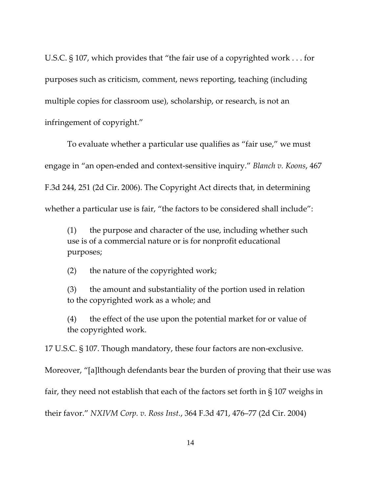U.S.C. § 107, which provides that "the fair use of a copyrighted work . . . for purposes such as criticism, comment, news reporting, teaching (including multiple copies for classroom use), scholarship, or research, is not an infringement of copyright."

To evaluate whether a particular use qualifies as "fair use," we must engage in "an open-ended and context-sensitive inquiry." *Blanch v. Koons*, 467 F.3d 244, 251 (2d Cir. 2006). The Copyright Act directs that, in determining whether a particular use is fair, "the factors to be considered shall include":

(1) the purpose and character of the use, including whether such use is of a commercial nature or is for nonprofit educational purposes;

(2) the nature of the copyrighted work;

(3) the amount and substantiality of the portion used in relation to the copyrighted work as a whole; and

(4) the effect of the use upon the potential market for or value of the copyrighted work.

17 U.S.C. § 107. Though mandatory, these four factors are non-exclusive.

Moreover, "[a]lthough defendants bear the burden of proving that their use was

fair, they need not establish that each of the factors set forth in § 107 weighs in

their favor." *NXIVM Corp. v. Ross Inst.*, 364 F.3d 471, 476–77 (2d Cir. 2004)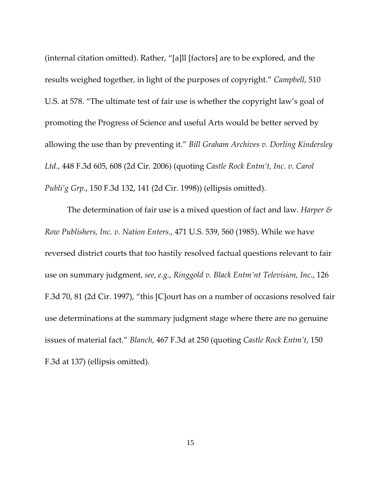(internal citation omitted). Rather, "[a]ll [factors] are to be explored, and the results weighed together, in light of the purposes of copyright." *Campbell*, 510 U.S. at 578. "The ultimate test of fair use is whether the copyright law's goal of promoting the Progress of Science and useful Arts would be better served by allowing the use than by preventing it." *Bill Graham Archives v. Dorling Kindersley Ltd.*, 448 F.3d 605, 608 (2d Cir. 2006) (quoting *Castle Rock Entm't, Inc. v. Carol Publi'g Grp.*, 150 F.3d 132, 141 (2d Cir. 1998)) (ellipsis omitted).

The determination of fair use is a mixed question of fact and law. *Harper & Row Publishers, Inc. v. Nation Enters.*, 471 U.S. 539, 560 (1985). While we have reversed district courts that too hastily resolved factual questions relevant to fair use on summary judgment, *see, e.g.*, *Ringgold v. Black Entm'nt Television, Inc.*, 126 F.3d 70, 81 (2d Cir. 1997), "this [C]ourt has on a number of occasions resolved fair use determinations at the summary judgment stage where there are no genuine issues of material fact." *Blanch*, 467 F.3d at 250 (quoting *Castle Rock Entm't*, 150 F.3d at 137) (ellipsis omitted).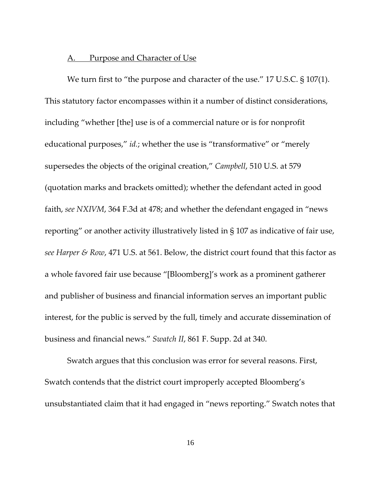## A. Purpose and Character of Use

We turn first to "the purpose and character of the use." 17 U.S.C. § 107(1). This statutory factor encompasses within it a number of distinct considerations, including "whether [the] use is of a commercial nature or is for nonprofit educational purposes," *id.*; whether the use is "transformative" or "merely supersedes the objects of the original creation," *Campbell*, 510 U.S. at 579 (quotation marks and brackets omitted); whether the defendant acted in good faith, *see NXIVM*, 364 F.3d at 478; and whether the defendant engaged in "news reporting" or another activity illustratively listed in § 107 as indicative of fair use, *see Harper & Row*, 471 U.S. at 561. Below, the district court found that this factor as a whole favored fair use because "[Bloomberg]'s work as a prominent gatherer and publisher of business and financial information serves an important public interest, for the public is served by the full, timely and accurate dissemination of business and financial news." *Swatch II*, 861 F. Supp. 2d at 340.

Swatch argues that this conclusion was error for several reasons. First, Swatch contends that the district court improperly accepted Bloomberg's unsubstantiated claim that it had engaged in "news reporting." Swatch notes that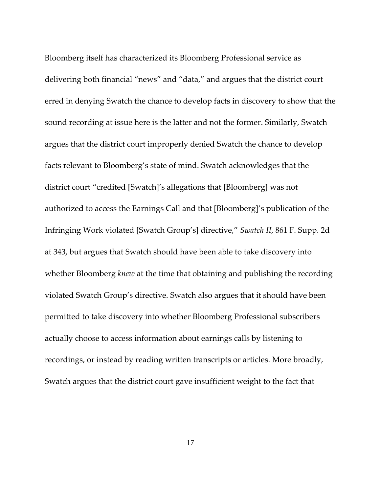Bloomberg itself has characterized its Bloomberg Professional service as delivering both financial "news" and "data," and argues that the district court erred in denying Swatch the chance to develop facts in discovery to show that the sound recording at issue here is the latter and not the former. Similarly, Swatch argues that the district court improperly denied Swatch the chance to develop facts relevant to Bloomberg's state of mind. Swatch acknowledges that the district court "credited [Swatch]'s allegations that [Bloomberg] was not authorized to access the Earnings Call and that [Bloomberg]'s publication of the Infringing Work violated [Swatch Group's] directive," *Swatch II*, 861 F. Supp. 2d at 343, but argues that Swatch should have been able to take discovery into whether Bloomberg *knew* at the time that obtaining and publishing the recording violated Swatch Group's directive. Swatch also argues that it should have been permitted to take discovery into whether Bloomberg Professional subscribers actually choose to access information about earnings calls by listening to recordings, or instead by reading written transcripts or articles. More broadly, Swatch argues that the district court gave insufficient weight to the fact that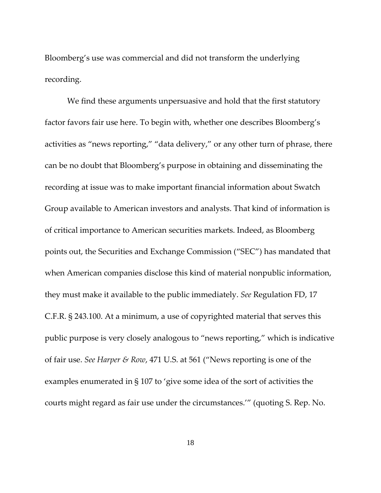Bloomberg's use was commercial and did not transform the underlying recording.

We find these arguments unpersuasive and hold that the first statutory factor favors fair use here. To begin with, whether one describes Bloomberg's activities as "news reporting," "data delivery," or any other turn of phrase, there can be no doubt that Bloomberg's purpose in obtaining and disseminating the recording at issue was to make important financial information about Swatch Group available to American investors and analysts. That kind of information is of critical importance to American securities markets. Indeed, as Bloomberg points out, the Securities and Exchange Commission ("SEC") has mandated that when American companies disclose this kind of material nonpublic information, they must make it available to the public immediately. *See* Regulation FD, 17 C.F.R. § 243.100. At a minimum, a use of copyrighted material that serves this public purpose is very closely analogous to "news reporting," which is indicative of fair use. *See Harper & Row*, 471 U.S. at 561 ("News reporting is one of the examples enumerated in § 107 to 'give some idea of the sort of activities the courts might regard as fair use under the circumstances.'" (quoting S. Rep. No.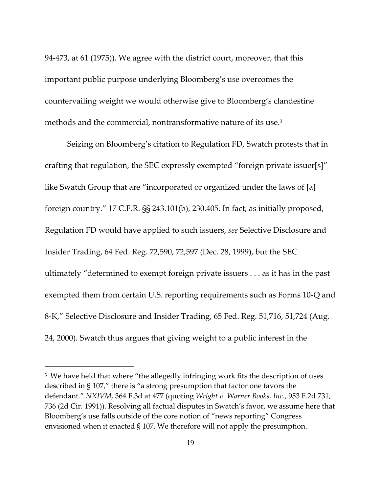94-473, at 61 (1975)). We agree with the district court, moreover, that this important public purpose underlying Bloomberg's use overcomes the countervailing weight we would otherwise give to Bloomberg's clandestine methods and the commercial, nontransformative nature of its use.<sup>3</sup>

Seizing on Bloomberg's citation to Regulation FD, Swatch protests that in crafting that regulation, the SEC expressly exempted "foreign private issuer[s]" like Swatch Group that are "incorporated or organized under the laws of [a] foreign country." 17 C.F.R. §§ 243.101(b), 230.405. In fact, as initially proposed, Regulation FD would have applied to such issuers, *see* Selective Disclosure and Insider Trading, 64 Fed. Reg. 72,590, 72,597 (Dec. 28, 1999), but the SEC ultimately "determined to exempt foreign private issuers . . . as it has in the past exempted them from certain U.S. reporting requirements such as Forms 10-Q and 8-K," Selective Disclosure and Insider Trading, 65 Fed. Reg. 51,716, 51,724 (Aug. 24, 2000). Swatch thus argues that giving weight to a public interest in the

l

<sup>&</sup>lt;sup>3</sup> We have held that where "the allegedly infringing work fits the description of uses described in § 107," there is "a strong presumption that factor one favors the defendant." *NXIVM*, 364 F.3d at 477 (quoting *Wright v. Warner Books, Inc.*, 953 F.2d 731, 736 (2d Cir. 1991)). Resolving all factual disputes in Swatch's favor, we assume here that Bloomberg's use falls outside of the core notion of "news reporting" Congress envisioned when it enacted § 107. We therefore will not apply the presumption.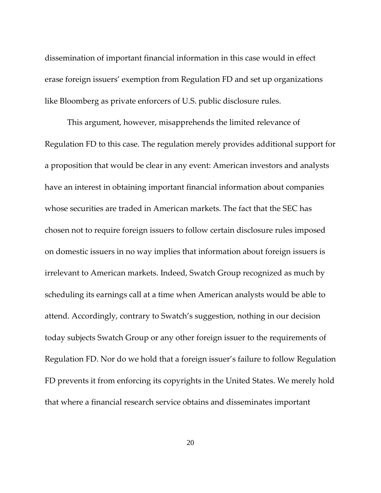dissemination of important financial information in this case would in effect erase foreign issuers' exemption from Regulation FD and set up organizations like Bloomberg as private enforcers of U.S. public disclosure rules.

This argument, however, misapprehends the limited relevance of Regulation FD to this case. The regulation merely provides additional support for a proposition that would be clear in any event: American investors and analysts have an interest in obtaining important financial information about companies whose securities are traded in American markets. The fact that the SEC has chosen not to require foreign issuers to follow certain disclosure rules imposed on domestic issuers in no way implies that information about foreign issuers is irrelevant to American markets. Indeed, Swatch Group recognized as much by scheduling its earnings call at a time when American analysts would be able to attend. Accordingly, contrary to Swatch's suggestion, nothing in our decision today subjects Swatch Group or any other foreign issuer to the requirements of Regulation FD. Nor do we hold that a foreign issuer's failure to follow Regulation FD prevents it from enforcing its copyrights in the United States. We merely hold that where a financial research service obtains and disseminates important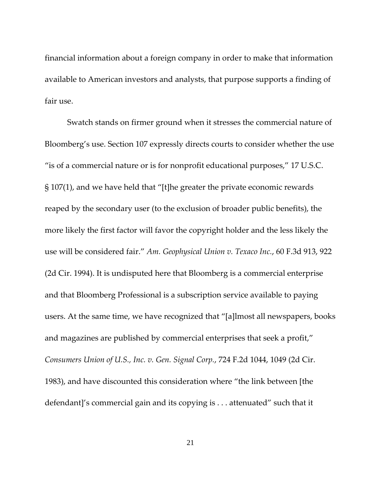financial information about a foreign company in order to make that information available to American investors and analysts, that purpose supports a finding of fair use.

Swatch stands on firmer ground when it stresses the commercial nature of Bloomberg's use. Section 107 expressly directs courts to consider whether the use "is of a commercial nature or is for nonprofit educational purposes," 17 U.S.C. § 107(1), and we have held that "[t]he greater the private economic rewards reaped by the secondary user (to the exclusion of broader public benefits), the more likely the first factor will favor the copyright holder and the less likely the use will be considered fair." *Am. Geophysical Union v. Texaco Inc.*, 60 F.3d 913, 922 (2d Cir. 1994). It is undisputed here that Bloomberg is a commercial enterprise and that Bloomberg Professional is a subscription service available to paying users. At the same time, we have recognized that "[a]lmost all newspapers, books and magazines are published by commercial enterprises that seek a profit," *Consumers Union of U.S., Inc. v. Gen. Signal Corp.*, 724 F.2d 1044, 1049 (2d Cir. 1983), and have discounted this consideration where "the link between [the defendant]'s commercial gain and its copying is . . . attenuated" such that it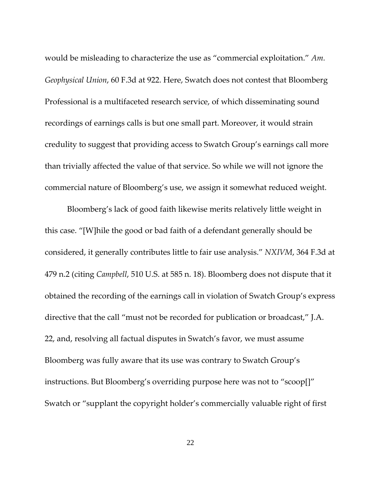would be misleading to characterize the use as "commercial exploitation." *Am. Geophysical Union*, 60 F.3d at 922. Here, Swatch does not contest that Bloomberg Professional is a multifaceted research service, of which disseminating sound recordings of earnings calls is but one small part. Moreover, it would strain credulity to suggest that providing access to Swatch Group's earnings call more than trivially affected the value of that service. So while we will not ignore the commercial nature of Bloomberg's use, we assign it somewhat reduced weight.

Bloomberg's lack of good faith likewise merits relatively little weight in this case. "[W]hile the good or bad faith of a defendant generally should be considered, it generally contributes little to fair use analysis." *NXIVM*, 364 F.3d at 479 n.2 (citing *Campbell*, 510 U.S. at 585 n. 18). Bloomberg does not dispute that it obtained the recording of the earnings call in violation of Swatch Group's express directive that the call "must not be recorded for publication or broadcast," J.A. 22, and, resolving all factual disputes in Swatch's favor, we must assume Bloomberg was fully aware that its use was contrary to Swatch Group's instructions. But Bloomberg's overriding purpose here was not to "scoop[]" Swatch or "supplant the copyright holder's commercially valuable right of first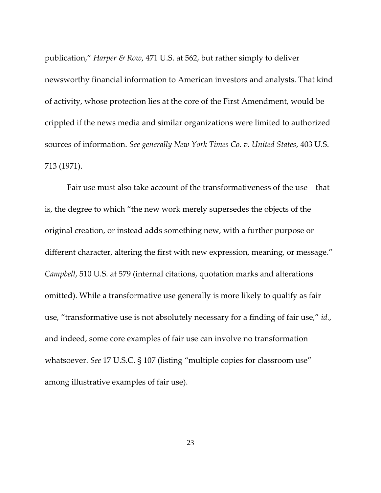publication," *Harper & Row*, 471 U.S. at 562, but rather simply to deliver newsworthy financial information to American investors and analysts. That kind of activity, whose protection lies at the core of the First Amendment, would be crippled if the news media and similar organizations were limited to authorized sources of information. *See generally New York Times Co. v. United States*, 403 U.S. 713 (1971).

Fair use must also take account of the transformativeness of the use—that is, the degree to which "the new work merely supersedes the objects of the original creation, or instead adds something new, with a further purpose or different character, altering the first with new expression, meaning, or message." *Campbell*, 510 U.S. at 579 (internal citations, quotation marks and alterations omitted). While a transformative use generally is more likely to qualify as fair use, "transformative use is not absolutely necessary for a finding of fair use," *id.*, and indeed, some core examples of fair use can involve no transformation whatsoever. *See* 17 U.S.C. § 107 (listing "multiple copies for classroom use" among illustrative examples of fair use).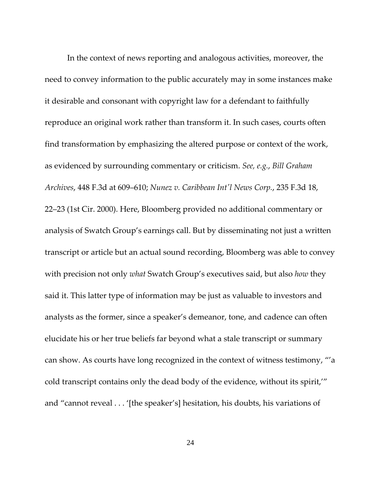In the context of news reporting and analogous activities, moreover, the need to convey information to the public accurately may in some instances make it desirable and consonant with copyright law for a defendant to faithfully reproduce an original work rather than transform it. In such cases, courts often find transformation by emphasizing the altered purpose or context of the work, as evidenced by surrounding commentary or criticism. *See, e.g.*, *Bill Graham Archives*, 448 F.3d at 609–610; *Nunez v. Caribbean Int'l News Corp.*, 235 F.3d 18, 22–23 (1st Cir. 2000). Here, Bloomberg provided no additional commentary or analysis of Swatch Group's earnings call. But by disseminating not just a written transcript or article but an actual sound recording, Bloomberg was able to convey with precision not only *what* Swatch Group's executives said, but also *how* they said it. This latter type of information may be just as valuable to investors and analysts as the former, since a speaker's demeanor, tone, and cadence can often elucidate his or her true beliefs far beyond what a stale transcript or summary can show. As courts have long recognized in the context of witness testimony, "'a cold transcript contains only the dead body of the evidence, without its spirit,'" and "cannot reveal . . . '[the speaker's] hesitation, his doubts, his variations of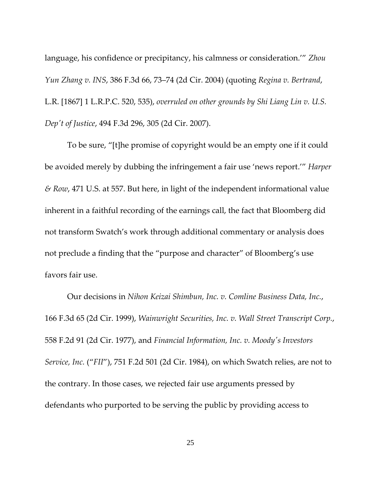language, his confidence or precipitancy, his calmness or consideration.'" *Zhou Yun Zhang v. INS*, 386 F.3d 66, 73–74 (2d Cir. 2004) (quoting *Regina v. Bertrand*, L.R. [1867] 1 L.R.P.C. 520, 535), *overruled on other grounds by Shi Liang Lin v. U.S. Dep't of Justice*, 494 F.3d 296, 305 (2d Cir. 2007).

To be sure, "[t]he promise of copyright would be an empty one if it could be avoided merely by dubbing the infringement a fair use 'news report.'" *Harper & Row*, 471 U.S. at 557. But here, in light of the independent informational value inherent in a faithful recording of the earnings call, the fact that Bloomberg did not transform Swatch's work through additional commentary or analysis does not preclude a finding that the "purpose and character" of Bloomberg's use favors fair use.

Our decisions in *Nihon Keizai Shimbun, Inc. v. Comline Business Data, Inc.*, 166 F.3d 65 (2d Cir. 1999), *Wainwright Securities, Inc. v. Wall Street Transcript Corp.*, 558 F.2d 91 (2d Cir. 1977), and *Financial Information, Inc. v. Moody's Investors Service, Inc.* ("*FII*"), 751 F.2d 501 (2d Cir. 1984), on which Swatch relies, are not to the contrary. In those cases, we rejected fair use arguments pressed by defendants who purported to be serving the public by providing access to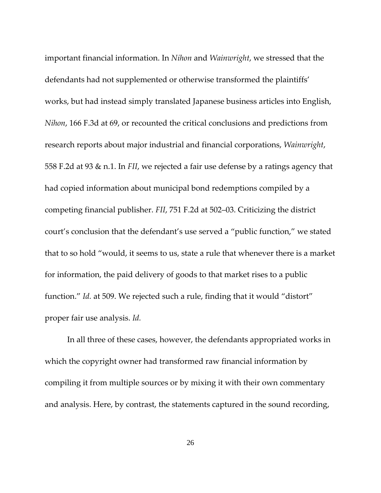important financial information. In *Nihon* and *Wainwright*, we stressed that the defendants had not supplemented or otherwise transformed the plaintiffs' works, but had instead simply translated Japanese business articles into English, *Nihon*, 166 F.3d at 69, or recounted the critical conclusions and predictions from research reports about major industrial and financial corporations, *Wainwright*, 558 F.2d at 93 & n.1. In *FII*, we rejected a fair use defense by a ratings agency that had copied information about municipal bond redemptions compiled by a competing financial publisher. *FII*, 751 F.2d at 502–03. Criticizing the district court's conclusion that the defendant's use served a "public function," we stated that to so hold "would, it seems to us, state a rule that whenever there is a market for information, the paid delivery of goods to that market rises to a public function." *Id.* at 509. We rejected such a rule, finding that it would "distort" proper fair use analysis. *Id.*

In all three of these cases, however, the defendants appropriated works in which the copyright owner had transformed raw financial information by compiling it from multiple sources or by mixing it with their own commentary and analysis. Here, by contrast, the statements captured in the sound recording,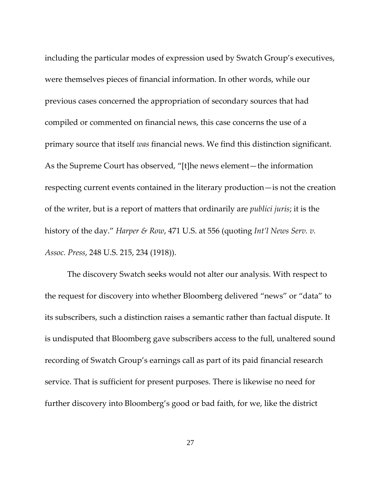including the particular modes of expression used by Swatch Group's executives, were themselves pieces of financial information. In other words, while our previous cases concerned the appropriation of secondary sources that had compiled or commented on financial news, this case concerns the use of a primary source that itself *was* financial news. We find this distinction significant. As the Supreme Court has observed, "[t]he news element—the information respecting current events contained in the literary production—is not the creation of the writer, but is a report of matters that ordinarily are *publici juris*; it is the history of the day." *Harper & Row*, 471 U.S. at 556 (quoting *Int'l News Serv. v. Assoc. Press*, 248 U.S. 215, 234 (1918)).

The discovery Swatch seeks would not alter our analysis. With respect to the request for discovery into whether Bloomberg delivered "news" or "data" to its subscribers, such a distinction raises a semantic rather than factual dispute. It is undisputed that Bloomberg gave subscribers access to the full, unaltered sound recording of Swatch Group's earnings call as part of its paid financial research service. That is sufficient for present purposes. There is likewise no need for further discovery into Bloomberg's good or bad faith, for we, like the district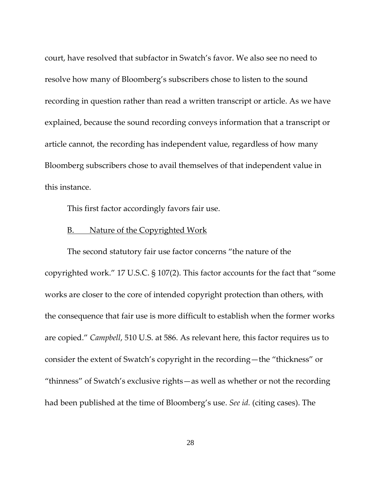court, have resolved that subfactor in Swatch's favor. We also see no need to resolve how many of Bloomberg's subscribers chose to listen to the sound recording in question rather than read a written transcript or article. As we have explained, because the sound recording conveys information that a transcript or article cannot, the recording has independent value, regardless of how many Bloomberg subscribers chose to avail themselves of that independent value in this instance.

This first factor accordingly favors fair use.

## B. Nature of the Copyrighted Work

The second statutory fair use factor concerns "the nature of the copyrighted work." 17 U.S.C. § 107(2). This factor accounts for the fact that "some works are closer to the core of intended copyright protection than others, with the consequence that fair use is more difficult to establish when the former works are copied." *Campbell*, 510 U.S. at 586. As relevant here, this factor requires us to consider the extent of Swatch's copyright in the recording—the "thickness" or "thinness" of Swatch's exclusive rights—as well as whether or not the recording had been published at the time of Bloomberg's use. *See id.* (citing cases). The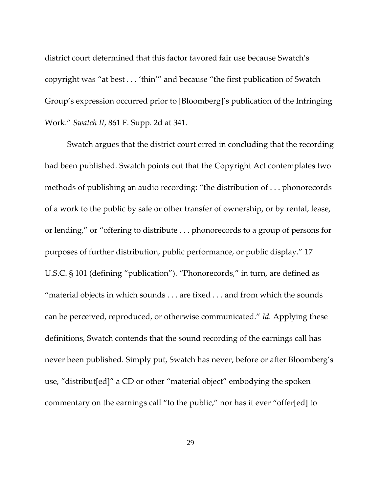district court determined that this factor favored fair use because Swatch's copyright was "at best . . . 'thin'" and because "the first publication of Swatch Group's expression occurred prior to [Bloomberg]'s publication of the Infringing Work." *Swatch II*, 861 F. Supp. 2d at 341.

Swatch argues that the district court erred in concluding that the recording had been published. Swatch points out that the Copyright Act contemplates two methods of publishing an audio recording: "the distribution of . . . phonorecords of a work to the public by sale or other transfer of ownership, or by rental, lease, or lending," or "offering to distribute . . . phonorecords to a group of persons for purposes of further distribution, public performance, or public display." 17 U.S.C. § 101 (defining "publication"). "Phonorecords," in turn, are defined as "material objects in which sounds . . . are fixed . . . and from which the sounds can be perceived, reproduced, or otherwise communicated." *Id.* Applying these definitions, Swatch contends that the sound recording of the earnings call has never been published. Simply put, Swatch has never, before or after Bloomberg's use, "distribut[ed]" a CD or other "material object" embodying the spoken commentary on the earnings call "to the public," nor has it ever "offer[ed] to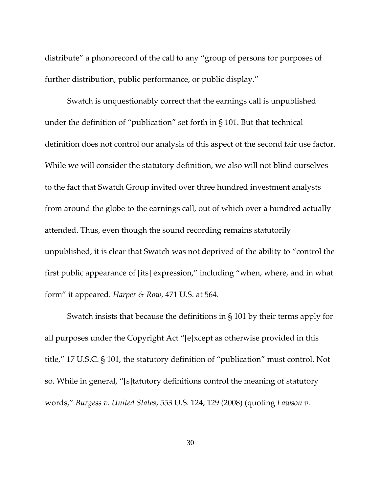distribute" a phonorecord of the call to any "group of persons for purposes of further distribution, public performance, or public display."

Swatch is unquestionably correct that the earnings call is unpublished under the definition of "publication" set forth in § 101. But that technical definition does not control our analysis of this aspect of the second fair use factor. While we will consider the statutory definition, we also will not blind ourselves to the fact that Swatch Group invited over three hundred investment analysts from around the globe to the earnings call, out of which over a hundred actually attended. Thus, even though the sound recording remains statutorily unpublished, it is clear that Swatch was not deprived of the ability to "control the first public appearance of [its] expression," including "when, where, and in what form" it appeared. *Harper & Row*, 471 U.S. at 564.

Swatch insists that because the definitions in § 101 by their terms apply for all purposes under the Copyright Act "[e]xcept as otherwise provided in this title," 17 U.S.C. § 101, the statutory definition of "publication" must control. Not so. While in general, "[s]tatutory definitions control the meaning of statutory words," *Burgess v. United States*, 553 U.S. 124, 129 (2008) (quoting *Lawson v.*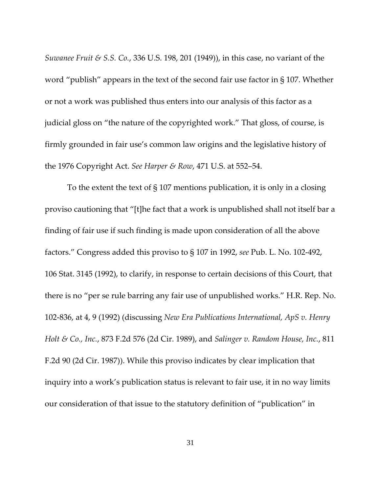*Suwanee Fruit & S.S. Co.*, 336 U.S. 198, 201 (1949)), in this case, no variant of the word "publish" appears in the text of the second fair use factor in § 107. Whether or not a work was published thus enters into our analysis of this factor as a judicial gloss on "the nature of the copyrighted work." That gloss, of course, is firmly grounded in fair use's common law origins and the legislative history of the 1976 Copyright Act. *See Harper & Row*, 471 U.S. at 552–54.

To the extent the text of § 107 mentions publication, it is only in a closing proviso cautioning that "[t]he fact that a work is unpublished shall not itself bar a finding of fair use if such finding is made upon consideration of all the above factors." Congress added this proviso to § 107 in 1992, *see* Pub. L. No. 102-492, 106 Stat. 3145 (1992), to clarify, in response to certain decisions of this Court, that there is no "per se rule barring any fair use of unpublished works." H.R. Rep. No. 102-836, at 4, 9 (1992) (discussing *New Era Publications International, ApS v. Henry Holt & Co., Inc.*, 873 F.2d 576 (2d Cir. 1989), and *Salinger v. Random House, Inc.*, 811 F.2d 90 (2d Cir. 1987)). While this proviso indicates by clear implication that inquiry into a work's publication status is relevant to fair use, it in no way limits our consideration of that issue to the statutory definition of "publication" in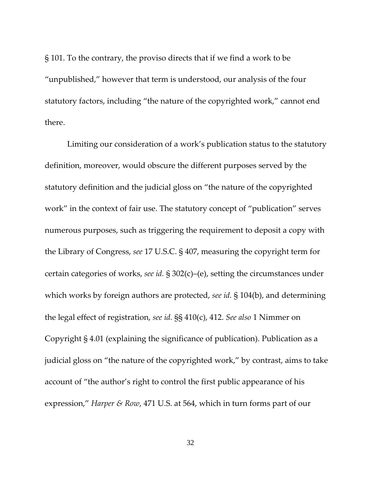§ 101. To the contrary, the proviso directs that if we find a work to be "unpublished," however that term is understood, our analysis of the four statutory factors, including "the nature of the copyrighted work," cannot end there.

Limiting our consideration of a work's publication status to the statutory definition, moreover, would obscure the different purposes served by the statutory definition and the judicial gloss on "the nature of the copyrighted work" in the context of fair use. The statutory concept of "publication" serves numerous purposes, such as triggering the requirement to deposit a copy with the Library of Congress, *see* 17 U.S.C. § 407, measuring the copyright term for certain categories of works, *see id.* § 302(c)–(e), setting the circumstances under which works by foreign authors are protected, *see id.* § 104(b), and determining the legal effect of registration, *see id.* §§ 410(c), 412. *See also* 1 Nimmer on Copyright § 4.01 (explaining the significance of publication). Publication as a judicial gloss on "the nature of the copyrighted work," by contrast, aims to take account of "the author's right to control the first public appearance of his expression," *Harper & Row*, 471 U.S. at 564, which in turn forms part of our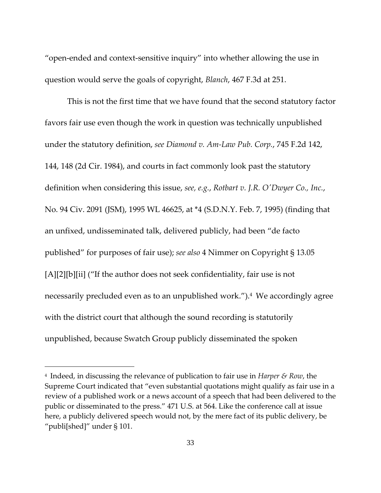"open-ended and context-sensitive inquiry" into whether allowing the use in question would serve the goals of copyright, *Blanch*, 467 F.3d at 251.

This is not the first time that we have found that the second statutory factor favors fair use even though the work in question was technically unpublished under the statutory definition, *see Diamond v. Am-Law Pub. Corp.*, 745 F.2d 142, 144, 148 (2d Cir. 1984), and courts in fact commonly look past the statutory definition when considering this issue, *see, e.g.*, *Rotbart v. J.R. O'Dwyer Co., Inc.*, No. 94 Civ. 2091 (JSM), 1995 WL 46625, at \*4 (S.D.N.Y. Feb. 7, 1995) (finding that an unfixed, undisseminated talk, delivered publicly, had been "de facto published" for purposes of fair use); *see also* 4 Nimmer on Copyright § 13.05 [A][2][b][ii] ("If the author does not seek confidentiality, fair use is not necessarily precluded even as to an unpublished work.").<sup>4</sup> We accordingly agree with the district court that although the sound recording is statutorily unpublished, because Swatch Group publicly disseminated the spoken

l

<sup>4</sup> Indeed, in discussing the relevance of publication to fair use in *Harper & Row*, the Supreme Court indicated that "even substantial quotations might qualify as fair use in a review of a published work or a news account of a speech that had been delivered to the public or disseminated to the press." 471 U.S. at 564. Like the conference call at issue here, a publicly delivered speech would not, by the mere fact of its public delivery, be "publi[shed]" under § 101.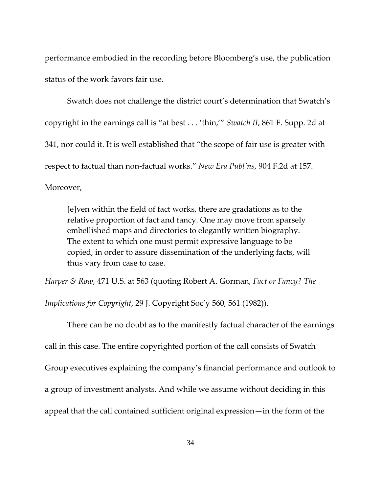performance embodied in the recording before Bloomberg's use, the publication status of the work favors fair use.

Swatch does not challenge the district court's determination that Swatch's copyright in the earnings call is "at best . . . 'thin,'" *Swatch II*, 861 F. Supp. 2d at 341, nor could it. It is well established that "the scope of fair use is greater with respect to factual than non-factual works." *New Era Publ'ns*, 904 F.2d at 157. Moreover,

[e]ven within the field of fact works, there are gradations as to the relative proportion of fact and fancy. One may move from sparsely embellished maps and directories to elegantly written biography. The extent to which one must permit expressive language to be copied, in order to assure dissemination of the underlying facts, will thus vary from case to case.

*Harper & Row*, 471 U.S. at 563 (quoting Robert A. Gorman, *Fact or Fancy? The* 

*Implications for Copyright*, 29 J. Copyright Soc'y 560, 561 (1982)).

There can be no doubt as to the manifestly factual character of the earnings call in this case. The entire copyrighted portion of the call consists of Swatch Group executives explaining the company's financial performance and outlook to a group of investment analysts. And while we assume without deciding in this appeal that the call contained sufficient original expression—in the form of the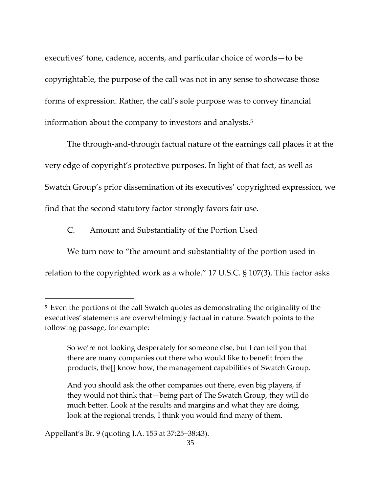executives' tone, cadence, accents, and particular choice of words—to be copyrightable, the purpose of the call was not in any sense to showcase those forms of expression. Rather, the call's sole purpose was to convey financial information about the company to investors and analysts. 5

The through-and-through factual nature of the earnings call places it at the very edge of copyright's protective purposes. In light of that fact, as well as Swatch Group's prior dissemination of its executives' copyrighted expression, we find that the second statutory factor strongly favors fair use.

## C. Amount and Substantiality of the Portion Used

We turn now to "the amount and substantiality of the portion used in relation to the copyrighted work as a whole." 17 U.S.C. § 107(3). This factor asks

And you should ask the other companies out there, even big players, if they would not think that—being part of The Swatch Group, they will do much better. Look at the results and margins and what they are doing, look at the regional trends, I think you would find many of them.

Appellant's Br. 9 (quoting J.A. 153 at 37:25–38:43).

l

<sup>&</sup>lt;sup>5</sup> Even the portions of the call Swatch quotes as demonstrating the originality of the executives' statements are overwhelmingly factual in nature. Swatch points to the following passage, for example:

So we're not looking desperately for someone else, but I can tell you that there are many companies out there who would like to benefit from the products, the[] know how, the management capabilities of Swatch Group.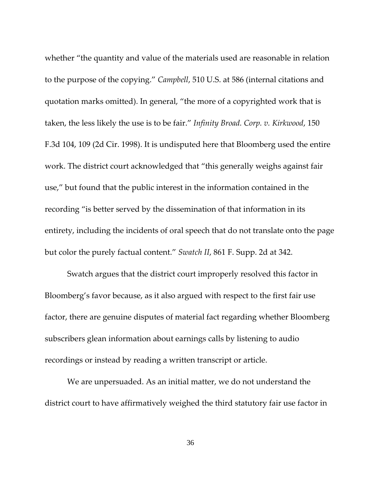whether "the quantity and value of the materials used are reasonable in relation to the purpose of the copying." *Campbell*, 510 U.S. at 586 (internal citations and quotation marks omitted). In general, "the more of a copyrighted work that is taken, the less likely the use is to be fair." *Infinity Broad. Corp. v. Kirkwood*, 150 F.3d 104, 109 (2d Cir. 1998). It is undisputed here that Bloomberg used the entire work. The district court acknowledged that "this generally weighs against fair use," but found that the public interest in the information contained in the recording "is better served by the dissemination of that information in its entirety, including the incidents of oral speech that do not translate onto the page but color the purely factual content." *Swatch II*, 861 F. Supp. 2d at 342.

Swatch argues that the district court improperly resolved this factor in Bloomberg's favor because, as it also argued with respect to the first fair use factor, there are genuine disputes of material fact regarding whether Bloomberg subscribers glean information about earnings calls by listening to audio recordings or instead by reading a written transcript or article.

We are unpersuaded. As an initial matter, we do not understand the district court to have affirmatively weighed the third statutory fair use factor in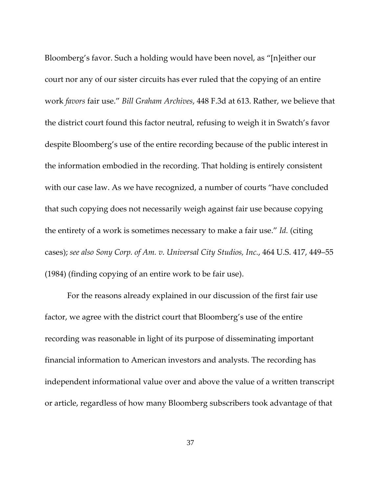Bloomberg's favor. Such a holding would have been novel, as "[n]either our court nor any of our sister circuits has ever ruled that the copying of an entire work *favors* fair use." *Bill Graham Archives*, 448 F.3d at 613. Rather, we believe that the district court found this factor neutral, refusing to weigh it in Swatch's favor despite Bloomberg's use of the entire recording because of the public interest in the information embodied in the recording. That holding is entirely consistent with our case law. As we have recognized, a number of courts "have concluded that such copying does not necessarily weigh against fair use because copying the entirety of a work is sometimes necessary to make a fair use." *Id.* (citing cases); *see also Sony Corp. of Am. v. Universal City Studios, Inc.*, 464 U.S. 417, 449–55 (1984) (finding copying of an entire work to be fair use).

For the reasons already explained in our discussion of the first fair use factor, we agree with the district court that Bloomberg's use of the entire recording was reasonable in light of its purpose of disseminating important financial information to American investors and analysts. The recording has independent informational value over and above the value of a written transcript or article, regardless of how many Bloomberg subscribers took advantage of that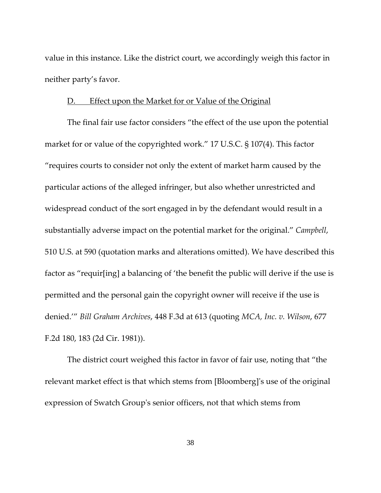value in this instance. Like the district court, we accordingly weigh this factor in neither party's favor.

#### D. Effect upon the Market for or Value of the Original

The final fair use factor considers "the effect of the use upon the potential market for or value of the copyrighted work." 17 U.S.C. § 107(4). This factor "requires courts to consider not only the extent of market harm caused by the particular actions of the alleged infringer, but also whether unrestricted and widespread conduct of the sort engaged in by the defendant would result in a substantially adverse impact on the potential market for the original." *Campbell*, 510 U.S. at 590 (quotation marks and alterations omitted). We have described this factor as "requir[ing] a balancing of 'the benefit the public will derive if the use is permitted and the personal gain the copyright owner will receive if the use is denied.'" *Bill Graham Archives*, 448 F.3d at 613 (quoting *MCA, Inc. v. Wilson*, 677 F.2d 180, 183 (2d Cir. 1981)).

The district court weighed this factor in favor of fair use, noting that "the relevant market effect is that which stems from [Bloomberg]'s use of the original expression of Swatch Group's senior officers, not that which stems from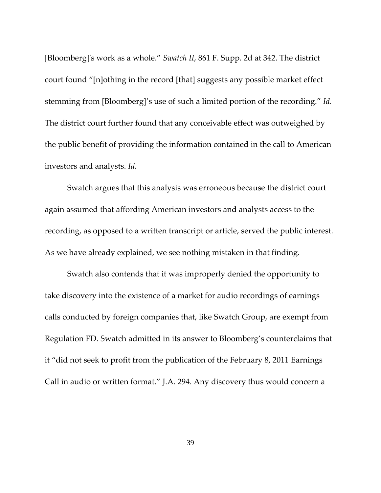[Bloomberg]'s work as a whole." *Swatch II*, 861 F. Supp. 2d at 342. The district court found "[n]othing in the record [that] suggests any possible market effect stemming from [Bloomberg]'s use of such a limited portion of the recording." *Id.* The district court further found that any conceivable effect was outweighed by the public benefit of providing the information contained in the call to American investors and analysts. *Id.*

Swatch argues that this analysis was erroneous because the district court again assumed that affording American investors and analysts access to the recording, as opposed to a written transcript or article, served the public interest. As we have already explained, we see nothing mistaken in that finding.

Swatch also contends that it was improperly denied the opportunity to take discovery into the existence of a market for audio recordings of earnings calls conducted by foreign companies that, like Swatch Group, are exempt from Regulation FD. Swatch admitted in its answer to Bloomberg's counterclaims that it "did not seek to profit from the publication of the February 8, 2011 Earnings Call in audio or written format." J.A. 294. Any discovery thus would concern a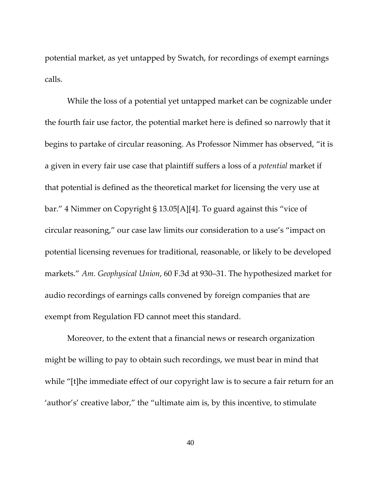potential market, as yet untapped by Swatch, for recordings of exempt earnings calls.

While the loss of a potential yet untapped market can be cognizable under the fourth fair use factor, the potential market here is defined so narrowly that it begins to partake of circular reasoning. As Professor Nimmer has observed, "it is a given in every fair use case that plaintiff suffers a loss of a *potential* market if that potential is defined as the theoretical market for licensing the very use at bar." 4 Nimmer on Copyright § 13.05[A][4]. To guard against this "vice of circular reasoning," our case law limits our consideration to a use's "impact on potential licensing revenues for traditional, reasonable, or likely to be developed markets." *Am. Geophysical Union*, 60 F.3d at 930–31. The hypothesized market for audio recordings of earnings calls convened by foreign companies that are exempt from Regulation FD cannot meet this standard.

Moreover, to the extent that a financial news or research organization might be willing to pay to obtain such recordings, we must bear in mind that while "[t]he immediate effect of our copyright law is to secure a fair return for an 'author's' creative labor," the "ultimate aim is, by this incentive, to stimulate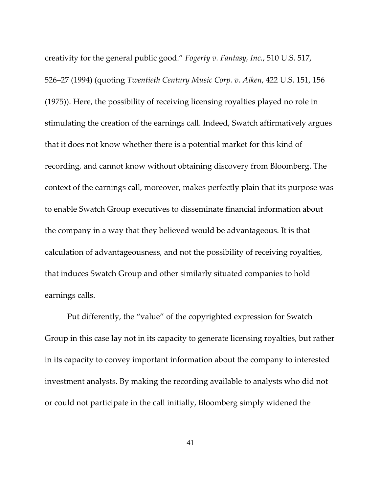creativity for the general public good." *Fogerty v. Fantasy, Inc.*, 510 U.S. 517, 526–27 (1994) (quoting *Twentieth Century Music Corp. v. Aiken*, 422 U.S. 151, 156 (1975)). Here, the possibility of receiving licensing royalties played no role in stimulating the creation of the earnings call. Indeed, Swatch affirmatively argues that it does not know whether there is a potential market for this kind of recording, and cannot know without obtaining discovery from Bloomberg. The context of the earnings call, moreover, makes perfectly plain that its purpose was to enable Swatch Group executives to disseminate financial information about the company in a way that they believed would be advantageous. It is that calculation of advantageousness, and not the possibility of receiving royalties, that induces Swatch Group and other similarly situated companies to hold earnings calls.

Put differently, the "value" of the copyrighted expression for Swatch Group in this case lay not in its capacity to generate licensing royalties, but rather in its capacity to convey important information about the company to interested investment analysts. By making the recording available to analysts who did not or could not participate in the call initially, Bloomberg simply widened the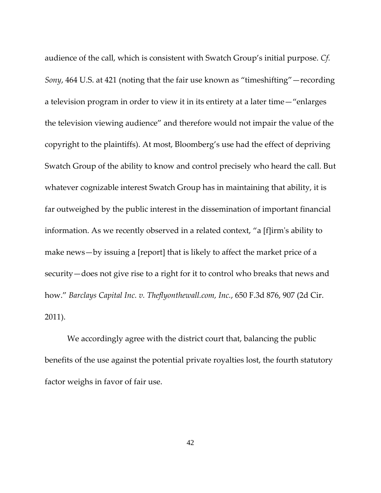audience of the call, which is consistent with Swatch Group's initial purpose. *Cf. Sony*, 464 U.S. at 421 (noting that the fair use known as "timeshifting"—recording a television program in order to view it in its entirety at a later time—"enlarges the television viewing audience" and therefore would not impair the value of the copyright to the plaintiffs). At most, Bloomberg's use had the effect of depriving Swatch Group of the ability to know and control precisely who heard the call. But whatever cognizable interest Swatch Group has in maintaining that ability, it is far outweighed by the public interest in the dissemination of important financial information. As we recently observed in a related context, "a [f]irm's ability to make news—by issuing a [report] that is likely to affect the market price of a security—does not give rise to a right for it to control who breaks that news and how." *Barclays Capital Inc. v. Theflyonthewall.com, Inc.*, 650 F.3d 876, 907 (2d Cir. 2011).

We accordingly agree with the district court that, balancing the public benefits of the use against the potential private royalties lost, the fourth statutory factor weighs in favor of fair use.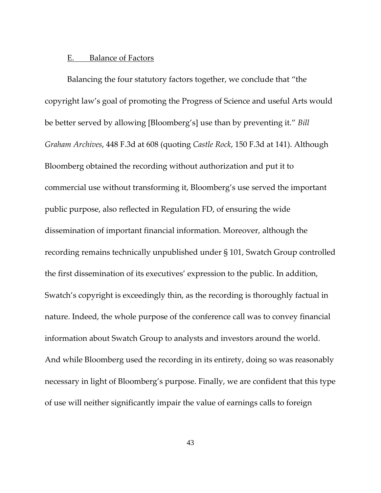## E. Balance of Factors

Balancing the four statutory factors together, we conclude that "the copyright law's goal of promoting the Progress of Science and useful Arts would be better served by allowing [Bloomberg's] use than by preventing it." *Bill Graham Archives*, 448 F.3d at 608 (quoting *Castle Rock*, 150 F.3d at 141). Although Bloomberg obtained the recording without authorization and put it to commercial use without transforming it, Bloomberg's use served the important public purpose, also reflected in Regulation FD, of ensuring the wide dissemination of important financial information. Moreover, although the recording remains technically unpublished under § 101, Swatch Group controlled the first dissemination of its executives' expression to the public. In addition, Swatch's copyright is exceedingly thin, as the recording is thoroughly factual in nature. Indeed, the whole purpose of the conference call was to convey financial information about Swatch Group to analysts and investors around the world. And while Bloomberg used the recording in its entirety, doing so was reasonably necessary in light of Bloomberg's purpose. Finally, we are confident that this type of use will neither significantly impair the value of earnings calls to foreign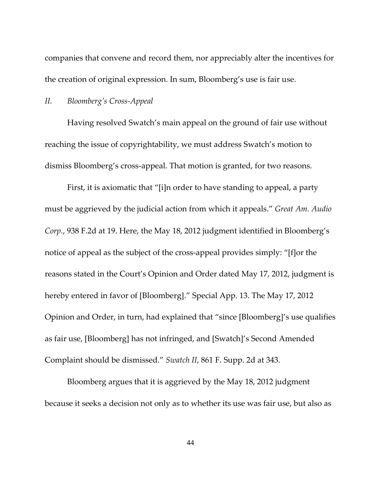companies that convene and record them, nor appreciably alter the incentives for the creation of original expression. In sum, Bloomberg's use is fair use.

#### *II. Bloomberg's Cross-Appeal*

Having resolved Swatch's main appeal on the ground of fair use without reaching the issue of copyrightability, we must address Swatch's motion to dismiss Bloomberg's cross-appeal. That motion is granted, for two reasons.

First, it is axiomatic that "[i]n order to have standing to appeal, a party must be aggrieved by the judicial action from which it appeals." *Great Am. Audio Corp.*, 938 F.2d at 19. Here, the May 18, 2012 judgment identified in Bloomberg's notice of appeal as the subject of the cross-appeal provides simply: "[f]or the reasons stated in the Court's Opinion and Order dated May 17, 2012, judgment is hereby entered in favor of [Bloomberg]." Special App. 13. The May 17, 2012 Opinion and Order, in turn, had explained that "since [Bloomberg]'s use qualifies as fair use, [Bloomberg] has not infringed, and [Swatch]'s Second Amended Complaint should be dismissed." *Swatch II*, 861 F. Supp. 2d at 343.

Bloomberg argues that it is aggrieved by the May 18, 2012 judgment because it seeks a decision not only as to whether its use was fair use, but also as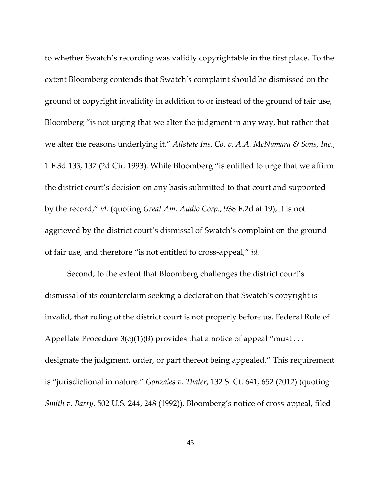to whether Swatch's recording was validly copyrightable in the first place. To the extent Bloomberg contends that Swatch's complaint should be dismissed on the ground of copyright invalidity in addition to or instead of the ground of fair use, Bloomberg "is not urging that we alter the judgment in any way, but rather that we alter the reasons underlying it." *Allstate Ins. Co. v. A.A. McNamara & Sons, Inc.*, 1 F.3d 133, 137 (2d Cir. 1993). While Bloomberg "is entitled to urge that we affirm the district court's decision on any basis submitted to that court and supported by the record," *id.* (quoting *Great Am. Audio Corp.*, 938 F.2d at 19), it is not aggrieved by the district court's dismissal of Swatch's complaint on the ground of fair use, and therefore "is not entitled to cross-appeal," *id.*

Second, to the extent that Bloomberg challenges the district court's dismissal of its counterclaim seeking a declaration that Swatch's copyright is invalid, that ruling of the district court is not properly before us. Federal Rule of Appellate Procedure  $3(c)(1)(B)$  provides that a notice of appeal "must ... designate the judgment, order, or part thereof being appealed." This requirement is "jurisdictional in nature." *Gonzales v. Thaler*, 132 S. Ct. 641, 652 (2012) (quoting *Smith v. Barry*, 502 U.S. 244, 248 (1992)). Bloomberg's notice of cross-appeal, filed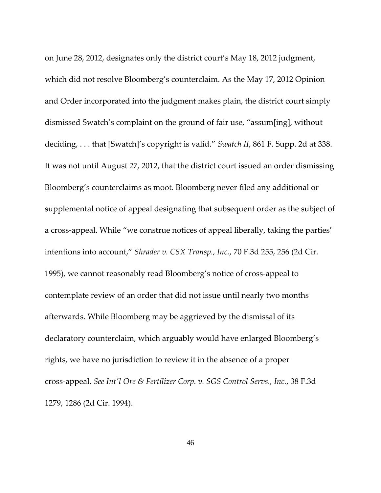on June 28, 2012, designates only the district court's May 18, 2012 judgment, which did not resolve Bloomberg's counterclaim. As the May 17, 2012 Opinion and Order incorporated into the judgment makes plain, the district court simply dismissed Swatch's complaint on the ground of fair use, "assum[ing], without deciding, . . . that [Swatch]'s copyright is valid." *Swatch II*, 861 F. Supp. 2d at 338. It was not until August 27, 2012, that the district court issued an order dismissing Bloomberg's counterclaims as moot. Bloomberg never filed any additional or supplemental notice of appeal designating that subsequent order as the subject of a cross-appeal. While "we construe notices of appeal liberally, taking the parties' intentions into account," *Shrader v. CSX Transp., Inc.*, 70 F.3d 255, 256 (2d Cir. 1995), we cannot reasonably read Bloomberg's notice of cross-appeal to contemplate review of an order that did not issue until nearly two months afterwards. While Bloomberg may be aggrieved by the dismissal of its declaratory counterclaim, which arguably would have enlarged Bloomberg's rights, we have no jurisdiction to review it in the absence of a proper cross-appeal. *See Int'l Ore & Fertilizer Corp. v. SGS Control Servs., Inc.*, 38 F.3d 1279, 1286 (2d Cir. 1994).